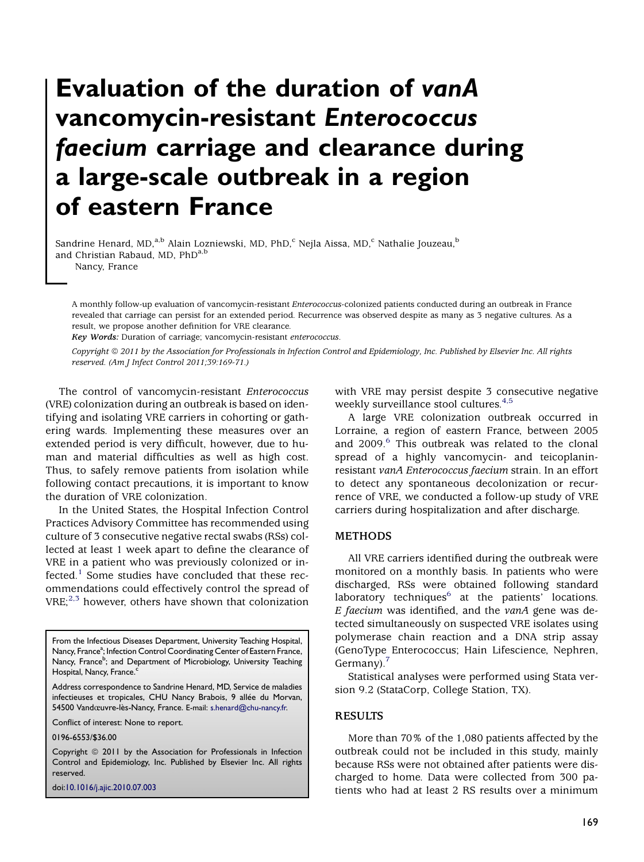# Evaluation of the duration of vanA vancomycin-resistant Enterococcus faecium carriage and clearance during a large-scale outbreak in a region of eastern France

Sandrine Henard, MD,<sup>a,b</sup> Alain Lozniewski, MD, PhD,<sup>c</sup> Nejla Aissa, MD,<sup>c</sup> Nathalie Jouzeau,<sup>b</sup> and Christian Rabaud, MD, PhD<sup>a,b</sup>

Nancy, France

A monthly follow-up evaluation of vancomycin-resistant Enterococcus-colonized patients conducted during an outbreak in France revealed that carriage can persist for an extended period. Recurrence was observed despite as many as 3 negative cultures. As a result, we propose another definition for VRE clearance.

Key Words: Duration of carriage; vancomycin-resistant enterococcus.

Copyright @ 2011 by the Association for Professionals in Infection Control and Epidemiology, Inc. Published by Elsevier Inc. All rights reserved. (Am J Infect Control 2011;39:169-71.)

The control of vancomycin-resistant Enterococcus (VRE) colonization during an outbreak is based on identifying and isolating VRE carriers in cohorting or gathering wards. Implementing these measures over an extended period is very difficult, however, due to human and material difficulties as well as high cost. Thus, to safely remove patients from isolation while following contact precautions, it is important to know the duration of VRE colonization.

In the United States, the Hospital Infection Control Practices Advisory Committee has recommended using culture of 3 consecutive negative rectal swabs (RSs) collected at least 1 week apart to define the clearance of VRE in a patient who was previously colonized or in-fected.<sup>[1](#page-1-0)</sup> Some studies have concluded that these recommendations could effectively control the spread of  $VRE;^{2,3}$  $VRE;^{2,3}$  $VRE;^{2,3}$  however, others have shown that colonization

From the Infectious Diseases Department, University Teaching Hospital, Nancy, France<sup>a</sup>; Infection Control Coordinating Center of Eastern France, Nancy, France<sup>b</sup>; and Department of Microbiology, University Teaching Hospital, Nancy, France.<sup>c</sup>

Address correspondence to Sandrine Henard, MD, Service de maladies infectieuses et tropicales, CHU Nancy Brabois, 9 allée du Morvan, 54500 Vandœuvre-les-Nancy, France. E-mail: [s.henard@chu-nancy.fr.](mailto:s.henard@chu-nancy.fr)

Conflict of interest: None to report.

0196-6553/\$36.00

Copyright © 2011 by the Association for Professionals in Infection Control and Epidemiology, Inc. Published by Elsevier Inc. All rights reserved.

doi[:10.1016/j.ajic.2010.07.003](http://dx.doi.org/10.1016/j.ajic.2010.07.003)

with VRE may persist despite 3 consecutive negative weekly surveillance stool cultures.<sup>[4,5](#page-1-0)</sup>

A large VRE colonization outbreak occurred in Lorraine, a region of eastern France, between 2005 and 2009.<sup>[6](#page-2-0)</sup> This outbreak was related to the clonal spread of a highly vancomycin- and teicoplaninresistant vanA Enterococcus faecium strain. In an effort to detect any spontaneous decolonization or recurrence of VRE, we conducted a follow-up study of VRE carriers during hospitalization and after discharge.

## METHODS

All VRE carriers identified during the outbreak were monitored on a monthly basis. In patients who were discharged, RSs were obtained following standard laboratory techniques $6$  at the patients' locations. E faecium was identified, and the  $vanA$  gene was detected simultaneously on suspected VRE isolates using polymerase chain reaction and a DNA strip assay (GenoType Enterococcus; Hain Lifescience, Nephren, Germany). $\frac{7}{2}$ 

Statistical analyses were performed using Stata version 9.2 (StataCorp, College Station, TX).

## RESULTS

More than 70% of the 1,080 patients affected by the outbreak could not be included in this study, mainly because RSs were not obtained after patients were discharged to home. Data were collected from 300 patients who had at least 2 RS results over a minimum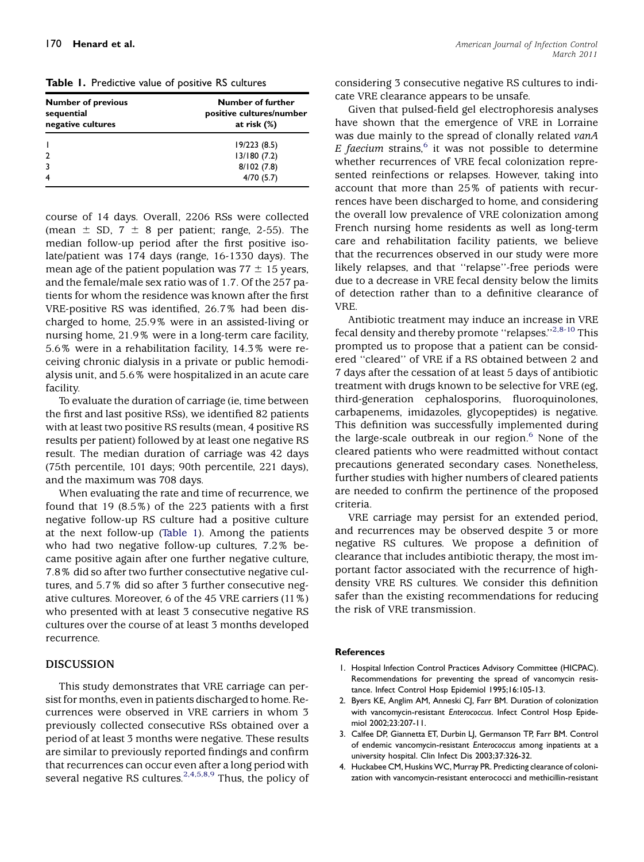<span id="page-1-0"></span>Table 1. Predictive value of positive RS cultures

| <b>Number of previous</b><br>sequential<br>negative cultures | Number of further<br>positive cultures/number<br>at risk $(\%)$ |
|--------------------------------------------------------------|-----------------------------------------------------------------|
|                                                              | 19/223(8.5)                                                     |
| 2                                                            | 13/180(7.2)                                                     |
| 3                                                            | 8/102(7.8)                                                      |
|                                                              | 4/70(5.7)                                                       |

course of 14 days. Overall, 2206 RSs were collected (mean  $\pm$  SD, 7  $\pm$  8 per patient; range, 2-55). The median follow-up period after the first positive isolate/patient was 174 days (range, 16-1330 days). The mean age of the patient population was  $77 \pm 15$  years, and the female/male sex ratio was of 1.7. Of the 257 patients for whom the residence was known after the first VRE-positive RS was identified, 26.7% had been discharged to home, 25.9% were in an assisted-living or nursing home, 21.9% were in a long-term care facility, 5.6% were in a rehabilitation facility, 14.3% were receiving chronic dialysis in a private or public hemodialysis unit, and 5.6% were hospitalized in an acute care facility.

To evaluate the duration of carriage (ie, time between the first and last positive RSs), we identified 82 patients with at least two positive RS results (mean, 4 positive RS results per patient) followed by at least one negative RS result. The median duration of carriage was 42 days (75th percentile, 101 days; 90th percentile, 221 days), and the maximum was 708 days.

When evaluating the rate and time of recurrence, we found that 19 (8.5%) of the 223 patients with a first negative follow-up RS culture had a positive culture at the next follow-up (Table 1). Among the patients who had two negative follow-up cultures, 7.2% became positive again after one further negative culture, 7.8% did so after two further consectutive negative cultures, and 5.7% did so after 3 further consecutive negative cultures. Moreover, 6 of the 45 VRE carriers (11%) who presented with at least 3 consecutive negative RS cultures over the course of at least 3 months developed recurrence.

### DISCUSSION

This study demonstrates that VRE carriage can persist for months, even in patients discharged to home. Recurrences were observed in VRE carriers in whom 3 previously collected consecutive RSs obtained over a period of at least 3 months were negative. These results are similar to previously reported findings and confirm that recurrences can occur even after a long period with several negative RS cultures.<sup>2,4,5,8,9</sup> Thus, the policy of considering 3 consecutive negative RS cultures to indicate VRE clearance appears to be unsafe.

Given that pulsed-field gel electrophoresis analyses have shown that the emergence of VRE in Lorraine was due mainly to the spread of clonally related vanA E faecium strains, $6$  it was not possible to determine whether recurrences of VRE fecal colonization represented reinfections or relapses. However, taking into account that more than 25% of patients with recurrences have been discharged to home, and considering the overall low prevalence of VRE colonization among French nursing home residents as well as long-term care and rehabilitation facility patients, we believe that the recurrences observed in our study were more likely relapses, and that ''relapse''-free periods were due to a decrease in VRE fecal density below the limits of detection rather than to a definitive clearance of VRE.

Antibiotic treatment may induce an increase in VRE fecal density and thereby promote "relapses."<sup>2,8-10</sup> This prompted us to propose that a patient can be considered ''cleared'' of VRE if a RS obtained between 2 and 7 days after the cessation of at least 5 days of antibiotic treatment with drugs known to be selective for VRE (eg, third-generation cephalosporins, fluoroquinolones, carbapenems, imidazoles, glycopeptides) is negative. This definition was successfully implemented during the large-scale outbreak in our region. $6$  None of the cleared patients who were readmitted without contact precautions generated secondary cases. Nonetheless, further studies with higher numbers of cleared patients are needed to confirm the pertinence of the proposed criteria.

VRE carriage may persist for an extended period, and recurrences may be observed despite 3 or more negative RS cultures. We propose a definition of clearance that includes antibiotic therapy, the most important factor associated with the recurrence of highdensity VRE RS cultures. We consider this definition safer than the existing recommendations for reducing the risk of VRE transmission.

#### References

- 1. Hospital Infection Control Practices Advisory Committee (HICPAC). Recommendations for preventing the spread of vancomycin resistance. Infect Control Hosp Epidemiol 1995;16:105-13.
- 2. Byers KE, Anglim AM, Anneski CJ, Farr BM. Duration of colonization with vancomycin-resistant Enterococcus. Infect Control Hosp Epidemiol 2002;23:207-11.
- 3. Calfee DP, Giannetta ET, Durbin LJ, Germanson TP, Farr BM. Control of endemic vancomycin-resistant Enterococcus among inpatients at a university hospital. Clin Infect Dis 2003;37:326-32.
- 4. Huckabee CM, Huskins WC, Murray PR. Predicting clearance of colonization with vancomycin-resistant enterococci and methicillin-resistant